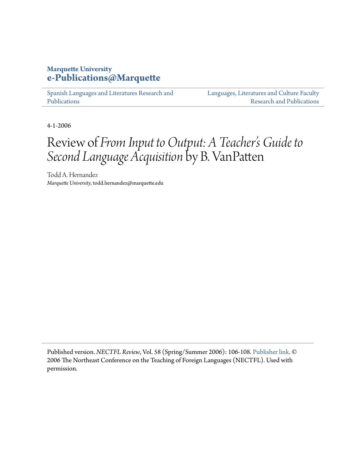## **Marquette University [e-Publications@Marquette](https://epublications.marquette.edu)**

[Spanish Languages and Literatures Research and](https://epublications.marquette.edu/span_fac) [Publications](https://epublications.marquette.edu/span_fac)

[Languages, Literatures and Culture Faculty](https://epublications.marquette.edu/fola_fac) [Research and Publications](https://epublications.marquette.edu/fola_fac)

4-1-2006

# Review of *From Input to Output: A Teacher's Guide to Second Language Acquisition* by B. VanPatten

Todd A. Hernandez *Marquette University*, todd.hernandez@marquette.edu

Published version. *NECTFL Review*, Vol. 58 (Spring/Summer 2006): 106-108. [Publisher link](http://www.nectfl.org/nectfl-review/). © 2006 The Northeast Conference on the Teaching of Foreign Languages (NECTFL). Used with permission.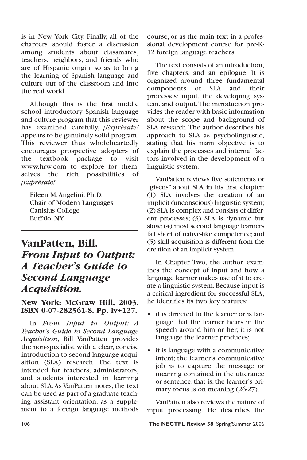is in New York City. Finally, all of the chapters should foster a discussion among students about classmates, teachers, neighbors, and friends who are of Hispanic origin, so as to bring the learning of Spanish language and culture out of the classroom and into the real world.

Although this is the first middle school introductory Spanish language and culture program that this reviewer has examined carefully, *¡Exprésate!* appears to be genuinely solid program. This reviewer thus wholeheartedly encourages prospective adopters of the textbook package to visit www.hrw.com to explore for themselves the rich possibilities of *¡Exprésate!*

Eileen M.Angelini, Ph.D. Chair of Modern Languages Canisius College Buffalo, NY

## **VanPatten, Bill.**  *From Input to Output: A Teacher's Guide to Second Language Acquisition.*

### **New York: McGraw Hill, 2003. ISBN 0-07-282561-8. Pp. iv+127.**

In *From Input to Output: A Teacher's Guide to Second Language Acquisition*, Bill VanPatten provides the non-specialist with a clear, concise introduction to second language acquisition (SLA) research. The text is intended for teachers, administrators, and students interested in learning about SLA.As VanPatten notes, the text can be used as part of a graduate teaching assistant orientation, as a supplement to a foreign language methods course, or as the main text in a professional development course for pre-K-12 foreign language teachers.

The text consists of an introduction, five chapters, and an epilogue. It is organized around three fundamental components of SLA and their processes: input, the developing system, and output.The introduction provides the reader with basic information about the scope and background of SLA research.The author describes his approach to SLA as psycholinguistic, stating that his main objective is to explain the processes and internal factors involved in the development of a linguistic system.

VanPatten reviews five statements or "givens" about SLA in his first chapter: (1) SLA involves the creation of an implicit (unconscious) linguistic system; (2) SLA is complex and consists of different processes; (3) SLA is dynamic but slow; (4) most second language learners fall short of native-like competence; and (5) skill acquisition is different from the creation of an implicit system.

In Chapter Two, the author examines the concept of input and how a language learner makes use of it to create a linguistic system.Because input is a critical ingredient for successful SLA, he identifies its two key features:

- it is directed to the learner or is language that the learner hears in the speech around him or her; it is not language the learner produces;
- it is language with a communicative intent; the learner's communicative job is to capture the message or meaning contained in the utterance or sentence, that is, the learner's primary focus is on meaning (26-27).

VanPatten also reviews the nature of input processing. He describes the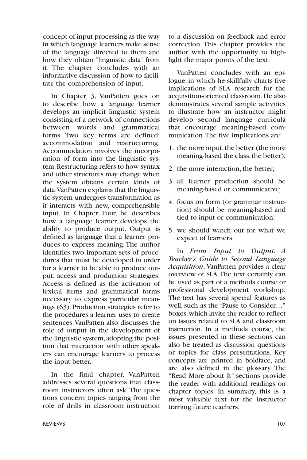concept of input processing as the way in which language learners make sense of the language directed to them and how they obtain "linguistic data" from it. The chapter concludes with an informative discussion of how to facilitate the comprehension of input.

In Chapter 3, VanPatten goes on to describe how a language learner develops an implicit linguistic system consisting of a network of connections between words and grammatical forms. Two key terms are defined: accommodation and restructuring. Accommodation involves the incorporation of form into the linguistic system.Restructuring refers to how syntax and other structures may change when the system obtains certain kinds of data.VanPatten explains that the linguistic system undergoes transformation as it interacts with new, comprehensible input. In Chapter Four, he describes how a language learner develops the ability to produce output. Output is defined as language that a learner produces to express meaning. The author identifies two important sets of procedures that must be developed in order for a learner to be able to produce output: access and production strategies. Access is defined as the activation of lexical items and grammatical forms necessary to express particular meanings (63). Production strategies refer to the procedures a learner uses to create sentences.VanPatten also discusses the role of output in the development of the linguistic system,adopting the position that interaction with other speakers can encourage learners to process the input better.

In the final chapter, VanPatten addresses several questions that classroom instructors often ask. The questions concern topics ranging from the role of drills in classroom instruction to a discussion on feedback and error correction. This chapter provides the author with the opportunity to highlight the major points of the text.

VanPatten concludes with an epilogue, in which he skillfully charts five implications of SLA research for the acquisition-oriented classroom. He also demonstrates several sample activities to illustrate how an instructor might develop second language curricula that encourage meaning-based communication.The five implications are:

- 1. the more input, the better (the more meaning-based the class, the better);
- 2. the more interaction, the better;
- 3. all learner production should be meaning-based or communicative;
- 4. focus on form (or grammar instruction) should be meaning-based and tied to input or communication;
- 5. we should watch out for what we expect of learners.

In *From Input to Output: A Teacher's Guide to Second Language Acquisition*, VanPatten provides a clear overview of SLA.The text certainly can be used as part of a methods course or professional development workshop. The text has several special features as well, such as the "Pause to Consider…" boxes,which invite the reader to reflect on issues related to SLA and classroom instruction. In a methods course, the issues presented in these sections can also be treated as discussion questions or topics for class presentations. Key concepts are printed in boldface, and are also defined in the glossary. The "Read More about It" sections provide the reader with additional readings on chapter topics. In summary, this is a most valuable text for the instructor training future teachers.